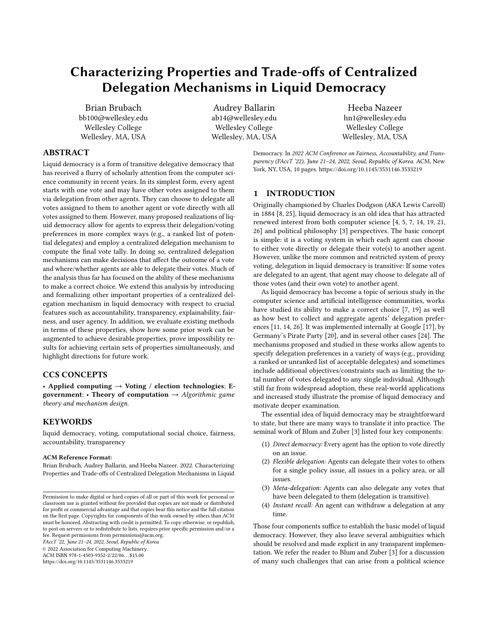# Characterizing Properties and Trade-offs of Centralized Delegation Mechanisms in Liquid Democracy

Brian Brubach bb100@wellesley.edu Wellesley College Wellesley, MA, USA

Audrey Ballarin ab14@wellesley.edu Wellesley College Wellesley, MA, USA

Heeba Nazeer hn1@wellesley.edu Wellesley College Wellesley, MA, USA

## ABSTRACT

Liquid democracy is a form of transitive delegative democracy that has received a flurry of scholarly attention from the computer science community in recent years. In its simplest form, every agent starts with one vote and may have other votes assigned to them via delegation from other agents. They can choose to delegate all votes assigned to them to another agent or vote directly with all votes assigned to them. However, many proposed realizations of liquid democracy allow for agents to express their delegation/voting preferences in more complex ways (e.g., a ranked list of potential delegates) and employ a centralized delegation mechanism to compute the final vote tally. In doing so, centralized delegation mechanisms can make decisions that affect the outcome of a vote and where/whether agents are able to delegate their votes. Much of the analysis thus far has focused on the ability of these mechanisms to make a correct choice. We extend this analysis by introducing and formalizing other important properties of a centralized delegation mechanism in liquid democracy with respect to crucial features such as accountability, transparency, explainability, fairness, and user agency. In addition, we evaluate existing methods in terms of these properties, show how some prior work can be augmented to achieve desirable properties, prove impossibility results for achieving certain sets of properties simultaneously, and highlight directions for future work.

## CCS CONCEPTS

• Applied computing  $\rightarrow$  Voting / election technologies; Egovernment; • Theory of computation  $\rightarrow$  Algorithmic game theory and mechanism design.

## **KEYWORDS**

liquid democracy, voting, computational social choice, fairness, accountability, transparency

#### ACM Reference Format:

Brian Brubach, Audrey Ballarin, and Heeba Nazeer. 2022. Characterizing Properties and Trade-offs of Centralized Delegation Mechanisms in Liquid

FAccT '22, June 21–24, 2022, Seoul, Republic of Korea

© 2022 Association for Computing Machinery.

ACM ISBN 978-1-4503-9352-2/22/06. . . \$15.00

<https://doi.org/10.1145/3531146.3533219>

Democracy. In 2022 ACM Conference on Fairness, Accountability, and Transparency (FAccT '22), June 21-24, 2022, Seoul, Republic of Korea. ACM, New York, NY, USA, [10](#page-9-0) pages.<https://doi.org/10.1145/3531146.3533219>

## 1 INTRODUCTION

Originally championed by Charles Dodgson (AKA Lewis Carroll) in 1884 [\[8,](#page-9-1) [25\]](#page-9-2), liquid democracy is an old idea that has attracted renewed interest from both computer science [\[4,](#page-9-3) [5,](#page-9-4) [7,](#page-9-5) [14,](#page-9-6) [19,](#page-9-7) [21,](#page-9-8) [26\]](#page-9-9) and political philosophy [\[3\]](#page-9-10) perspectives. The basic concept is simple: it is a voting system in which each agent can choose to either vote directly or delegate their vote(s) to another agent. However, unlike the more common and restricted system of proxy voting, delegation in liquid democracy is transitive: If some votes are delegated to an agent, that agent may choose to delegate all of those votes (and their own vote) to another agent.

As liquid democracy has become a topic of serious study in the computer science and artificial intelligence communities, works have studied its ability to make a correct choice [\[7,](#page-9-5) [19\]](#page-9-7) as well as how best to collect and aggregate agents' delegation preferences [\[11,](#page-9-11) [14,](#page-9-6) [26\]](#page-9-9). It was implemented internally at Google [\[17\]](#page-9-12), by Germany's Pirate Party [\[20\]](#page-9-13), and in several other cases [\[24\]](#page-9-14). The mechanisms proposed and studied in these works allow agents to specify delegation preferences in a variety of ways (e.g., providing a ranked or unranked list of acceptable delegates) and sometimes include additional objectives/constraints such as limiting the total number of votes delegated to any single individual. Although still far from widespread adoption, these real-world applications and increased study illustrate the promise of liquid democracy and motivate deeper examination.

The essential idea of liquid democracy may be straightforward to state, but there are many ways to translate it into practice. The seminal work of Blum and Zuber [\[3\]](#page-9-10) listed four key components:

- (1) Direct democracy: Every agent has the option to vote directly on an issue.
- (2) Flexible delegation: Agents can delegate their votes to others for a single policy issue, all issues in a policy area, or all issues.
- (3) Meta-delegation: Agents can also delegate any votes that have been delegated to them (delegation is transitive).
- (4) Instant recall: An agent can withdraw a delegation at any time.

Those four components suffice to establish the basic model of liquid democracy. However, they also leave several ambiguities which should be resolved and made explicit in any transparent implementation. We refer the reader to Blum and Zuber [\[3\]](#page-9-10) for a discussion of many such challenges that can arise from a political science

Permission to make digital or hard copies of all or part of this work for personal or classroom use is granted without fee provided that copies are not made or distributed for profit or commercial advantage and that copies bear this notice and the full citation on the first page. Copyrights for components of this work owned by others than ACM must be honored. Abstracting with credit is permitted. To copy otherwise, or republish, to post on servers or to redistribute to lists, requires prior specific permission and/or a fee. Request permissions from permissions@acm.org.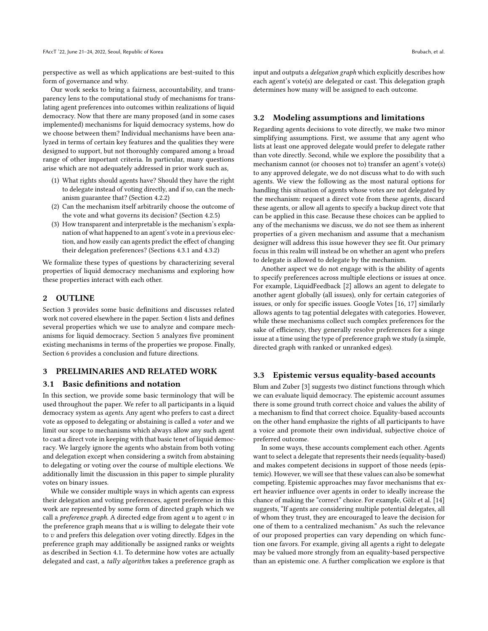perspective as well as which applications are best-suited to this form of governance and why.

Our work seeks to bring a fairness, accountability, and transparency lens to the computational study of mechanisms for translating agent preferences into outcomes within realizations of liquid democracy. Now that there are many proposed (and in some cases implemented) mechanisms for liquid democracy systems, how do we choose between them? Individual mechanisms have been analyzed in terms of certain key features and the qualities they were designed to support, but not thoroughly compared among a broad range of other important criteria. In particular, many questions arise which are not adequately addressed in prior work such as,

- (1) What rights should agents have? Should they have the right to delegate instead of voting directly, and if so, can the mechanism guarantee that? (Section [4.2.2\)](#page-2-0)
- (2) Can the mechanism itself arbitrarily choose the outcome of the vote and what governs its decision? (Section [4.2.5\)](#page-4-0)
- (3) How transparent and interpretable is the mechanism's explanation of what happened to an agent's vote in a previous election, and how easily can agents predict the effect of changing their delegation preferences? (Sections [4.3.1](#page-4-1) and [4.3.2\)](#page-4-2)

We formalize these types of questions by characterizing several properties of liquid democracy mechanisms and exploring how these properties interact with each other.

## 2 OUTLINE

Section [3](#page-1-0) provides some basic definitions and discusses related work not covered elsewhere in the paper. Section [4](#page-2-1) lists and defines several properties which we use to analyze and compare mechanisms for liquid democracy. Section [5](#page-5-0) analyzes five prominent existing mechanisms in terms of the properties we propose. Finally, Section [6](#page-8-0) provides a conclusion and future directions.

## <span id="page-1-0"></span>3 PRELIMINARIES AND RELATED WORK

#### 3.1 Basic definitions and notation

In this section, we provide some basic terminology that will be used throughout the paper. We refer to all participants in a liquid democracy system as agents. Any agent who prefers to cast a direct vote as opposed to delegating or abstaining is called a voter and we limit our scope to mechanisms which always allow any such agent to cast a direct vote in keeping with that basic tenet of liquid democracy. We largely ignore the agents who abstain from both voting and delegation except when considering a switch from abstaining to delegating or voting over the course of multiple elections. We additionally limit the discussion in this paper to simple plurality votes on binary issues.

While we consider multiple ways in which agents can express their delegation and voting preferences, agent preference in this work are represented by some form of directed graph which we call a *preference graph*. A directed edge from agent  $u$  to agent  $v$  in the preference graph means that  $u$  is willing to delegate their vote to  $v$  and prefers this delegation over voting directly. Edges in the preference graph may additionally be assigned ranks or weights as described in Section [4.1.](#page-2-2) To determine how votes are actually delegated and cast, a tally algorithm takes a preference graph as input and outputs a delegation graph which explicitly describes how each agent's vote(s) are delegated or cast. This delegation graph determines how many will be assigned to each outcome.

## <span id="page-1-1"></span>3.2 Modeling assumptions and limitations

Regarding agents decisions to vote directly, we make two minor simplifying assumptions. First, we assume that any agent who lists at least one approved delegate would prefer to delegate rather than vote directly. Second, while we explore the possibility that a mechanism cannot (or chooses not to) transfer an agent's vote(s) to any approved delegate, we do not discuss what to do with such agents. We view the following as the most natural options for handling this situation of agents whose votes are not delegated by the mechanism: request a direct vote from these agents, discard these agents, or allow all agents to specify a backup direct vote that can be applied in this case. Because these choices can be applied to any of the mechanisms we discuss, we do not see them as inherent properties of a given mechanism and assume that a mechanism designer will address this issue however they see fit. Our primary focus in this realm will instead be on whether an agent who prefers to delegate is allowed to delegate by the mechanism.

Another aspect we do not engage with is the ability of agents to specify preferences across multiple elections or issues at once. For example, LiquidFeedback [\[2\]](#page-9-15) allows an agent to delegate to another agent globally (all issues), only for certain categories of issues, or only for specific issues. Google Votes [\[16,](#page-9-16) [17\]](#page-9-12) similarly allows agents to tag potential delegates with categories. However, while these mechanisms collect such complex preferences for the sake of efficiency, they generally resolve preferences for a singe issue at a time using the type of preference graph we study (a simple, directed graph with ranked or unranked edges).

## 3.3 Epistemic versus equality-based accounts

Blum and Zuber [\[3\]](#page-9-10) suggests two distinct functions through which we can evaluate liquid democracy. The epistemic account assumes there is some ground truth correct choice and values the ability of a mechanism to find that correct choice. Equality-based accounts on the other hand emphasize the rights of all participants to have a voice and promote their own individual, subjective choice of preferred outcome.

In some ways, these accounts complement each other. Agents want to select a delegate that represents their needs (equality-based) and makes competent decisions in support of those needs (epistemic). However, we will see that these values can also be somewhat competing. Epistemic approaches may favor mechanisms that exert heavier influence over agents in order to ideally increase the chance of making the "correct" choice. For example, Gölz et al. [\[14\]](#page-9-6) suggests, "If agents are considering multiple potential delegates, all of whom they trust, they are encouraged to leave the decision for one of them to a centralized mechanism." As such the relevance of our proposed properties can vary depending on which function one favors. For example, giving all agents a right to delegate may be valued more strongly from an equality-based perspective than an epistemic one. A further complication we explore is that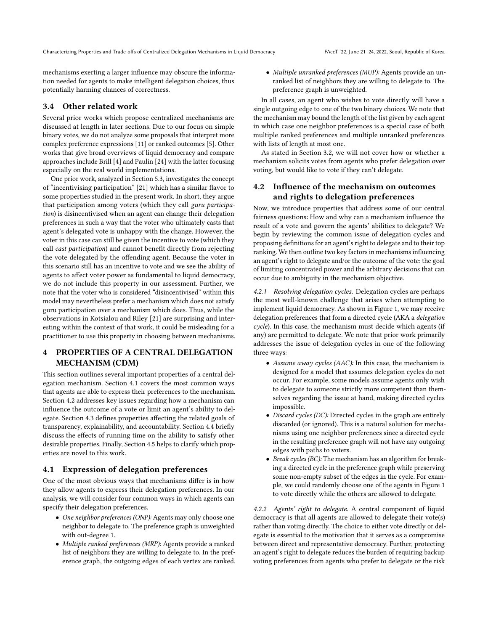mechanisms exerting a larger influence may obscure the information needed for agents to make intelligent delegation choices, thus potentially harming chances of correctness.

#### 3.4 Other related work

Several prior works which propose centralized mechanisms are discussed at length in later sections. Due to our focus on simple binary votes, we do not analyze some proposals that interpret more complex preference expressions [\[11\]](#page-9-11) or ranked outcomes [\[5\]](#page-9-4). Other works that give broad overviews of liquid democracy and compare approaches include Brill [\[4\]](#page-9-3) and Paulin [\[24\]](#page-9-14) with the latter focusing especially on the real world implementations.

One prior work, analyzed in Section [5.3,](#page-7-0) investigates the concept of "incentivising participation" [\[21\]](#page-9-8) which has a similar flavor to some properties studied in the present work. In short, they argue that participation among voters (which they call guru participation) is disincentivised when an agent can change their delegation preferences in such a way that the voter who ultimately casts that agent's delegated vote is unhappy with the change. However, the voter in this case can still be given the incentive to vote (which they call cast participation) and cannot benefit directly from rejecting the vote delegated by the offending agent. Because the voter in this scenario still has an incentive to vote and we see the ability of agents to affect voter power as fundamental to liquid democracy, we do not include this property in our assessment. Further, we note that the voter who is considered "disincentivised" within this model may nevertheless prefer a mechanism which does not satisfy guru participation over a mechanism which does. Thus, while the observations in Kotsialou and Riley [\[21\]](#page-9-8) are surprising and interesting within the context of that work, it could be misleading for a practitioner to use this property in choosing between mechanisms.

## <span id="page-2-1"></span>4 PROPERTIES OF A CENTRAL DELEGATION MECHANISM (CDM)

This section outlines several important properties of a central delegation mechanism. Section [4.1](#page-2-2) covers the most common ways that agents are able to express their preferences to the mechanism. Section [4.2](#page-2-3) addresses key issues regarding how a mechanism can influence the outcome of a vote or limit an agent's ability to delegate. Section [4.3](#page-4-3) defines properties affecting the related goals of transparency, explainability, and accountability. Section [4.4](#page-5-1) briefly discuss the effects of running time on the ability to satisfy other desirable properties. Finally, Section [4.5](#page-5-2) helps to clarify which properties are novel to this work.

## <span id="page-2-2"></span>4.1 Expression of delegation preferences

One of the most obvious ways that mechanisms differ is in how they allow agents to express their delegation preferences. In our analysis, we will consider four common ways in which agents can specify their delegation preferences.

- One neighbor preferences (ONP): Agents may only choose one neighbor to delegate to. The preference graph is unweighted with out-degree 1.
- Multiple ranked preferences (MRP): Agents provide a ranked list of neighbors they are willing to delegate to. In the preference graph, the outgoing edges of each vertex are ranked.

• Multiple unranked preferences (MUP): Agents provide an unranked list of neighbors they are willing to delegate to. The preference graph is unweighted.

In all cases, an agent who wishes to vote directly will have a single outgoing edge to one of the two binary choices. We note that the mechanism may bound the length of the list given by each agent in which case one neighbor preferences is a special case of both multiple ranked preferences and multiple unranked preferences with lists of length at most one.

As stated in Section [3.2,](#page-1-1) we will not cover how or whether a mechanism solicits votes from agents who prefer delegation over voting, but would like to vote if they can't delegate.

## <span id="page-2-3"></span>4.2 Influence of the mechanism on outcomes and rights to delegation preferences

Now, we introduce properties that address some of our central fairness questions: How and why can a mechanism influence the result of a vote and govern the agents' abilities to delegate? We begin by reviewing the common issue of delegation cycles and proposing definitions for an agent's right to delegate and to their top ranking. We then outline two key factors in mechanisms influencing an agent's right to delegate and/or the outcome of the vote: the goal of limiting concentrated power and the arbitrary decisions that can occur due to ambiguity in the mechanism objective.

<span id="page-2-4"></span>4.2.1 Resolving delegation cycles. Delegation cycles are perhaps the most well-known challenge that arises when attempting to implement liquid democracy. As shown in Figure [1,](#page-3-0) we may receive delegation preferences that form a directed cycle (AKA a delegation  $cycle$ ). In this case, the mechanism must decide which agents (if any) are permitted to delegate. We note that prior work primarily addresses the issue of delegation cycles in one of the following three ways:

- Assume away cycles (AAC): In this case, the mechanism is designed for a model that assumes delegation cycles do not occur. For example, some models assume agents only wish to delegate to someone strictly more competent than themselves regarding the issue at hand, making directed cycles impossible.
- Discard cycles (DC): Directed cycles in the graph are entirely discarded (or ignored). This is a natural solution for mechanisms using one neighbor preferences since a directed cycle in the resulting preference graph will not have any outgoing edges with paths to voters.
- Break cycles (BC): The mechanism has an algorithm for breaking a directed cycle in the preference graph while preserving some non-empty subset of the edges in the cycle. For example, we could randomly choose one of the agents in Figure [1](#page-3-0) to vote directly while the others are allowed to delegate.

<span id="page-2-0"></span>4.2.2 Agents' right to delegate. A central component of liquid democracy is that all agents are allowed to delegate their vote(s) rather than voting directly. The choice to either vote directly or delegate is essential to the motivation that it serves as a compromise between direct and representative democracy. Further, protecting an agent's right to delegate reduces the burden of requiring backup voting preferences from agents who prefer to delegate or the risk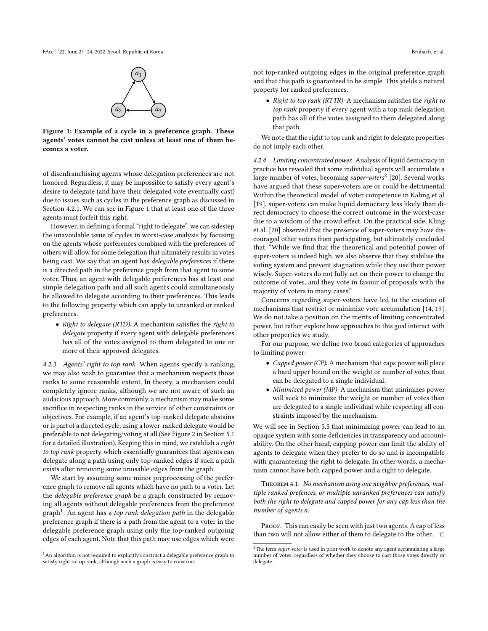<span id="page-3-0"></span>

Figure 1: Example of a cycle in a preference graph. These agents' votes cannot be cast unless at least one of them becomes a voter.

of disenfranchising agents whose delegation preferences are not honored. Regardless, it may be impossible to satisfy every agent's desire to delegate (and have their delegated vote eventually cast) due to issues such as cycles in the preference graph as discussed in Section [4.2.1.](#page-2-4) We can see in Figure [1](#page-3-0) that at least one of the three agents must forfeit this right.

However, in defining a formal "right to delegate", we can sidestep the unavoidable issue of cycles in worst-case analysis by focusing on the agents whose preferences combined with the preferences of others will allow for some delegation that ultimately results in votes being cast. We say that an agent has delegable preferences if there is a directed path in the preference graph from that agent to some voter. Thus, an agent with delegable preferences has at least one simple delegation path and all such agents could simultaneously be allowed to delegate according to their preferences. This leads to the following property which can apply to unranked or ranked preferences.

• Right to delegate (RTD): A mechanism satisfies the right to delegate property if every agent with delegable preferences has all of the votes assigned to them delegated to one or more of their approved delegates.

<span id="page-3-3"></span>4.2.3 Agents' right to top rank. When agents specify a ranking, we may also wish to guarantee that a mechanism respects those ranks to some reasonable extent. In theory, a mechanism could completely ignore ranks, although we are not aware of such an audacious approach. More commonly, a mechanism may make some sacrifice in respecting ranks in the service of other constraints or objectives. For example, if an agent's top-ranked delegate abstains or is part of a directed cycle, using a lower-ranked delegate would be preferable to not delegating/voting at all (See Figure [2](#page-6-0) in Section [5.1](#page-5-3) for a detailed illustration). Keeping this in mind, we establish a right to top rank property which essentially guarantees that agents can delegate along a path using only top-ranked edges if such a path exists after removing some unusable edges from the graph.

We start by assuming some minor preprocessing of the preference graph to remove all agents which have no path to a voter. Let the delegable preference graph be a graph constructed by removing all agents without delegable preferences from the preference graph<sup>[1](#page-3-1)</sup>. An agent has a top rank delegation path in the delegable preference graph if there is a path from the agent to a voter in the delegable preference graph using only the top-ranked outgoing edges of each agent. Note that this path may use edges which were

not top-ranked outgoing edges in the original preference graph and that this path is guaranteed to be simple. This yields a natural property for ranked preferences.

• Right to top rank (RTTR): A mechanism satisfies the right to top rank property if every agent with a top rank delegation path has all of the votes assigned to them delegated along that path.

We note that the right to top rank and right to delegate properties do not imply each other.

4.2.4 Limiting concentrated power. Analysis of liquid democracy in practice has revealed that some individual agents will accumulate a large number of votes, becoming super-voters $^2$  $^2$  [\[20\]](#page-9-13). Several works have argued that these super-voters are or could be detrimental. Within the theoretical model of voter competence in Kahng et al. [\[19\]](#page-9-7), super-voters can make liquid democracy less likely than direct democracy to choose the correct outcome in the worst-case due to a wisdom of the crowd effect. On the practical side, Kling et al. [\[20\]](#page-9-13) observed that the presence of super-voters may have discouraged other voters from participating, but ultimately concluded that, "While we find that the theoretical and potential power of super-voters is indeed high, we also observe that they stabilise the voting system and prevent stagnation while they use their power wisely. Super-voters do not fully act on their power to change the outcome of votes, and they vote in favour of proposals with the majority of voters in many cases."

Concerns regarding super-voters have led to the creation of mechanisms that restrict or minimize vote accumulation [\[14,](#page-9-6) [19\]](#page-9-7). We do not take a position on the merits of limiting concentrated power, but rather explore how approaches to this goal interact with other properties we study.

For our purpose, we define two broad categories of approaches to limiting power:

- Capped power (CP): A mechanism that caps power will place a hard upper bound on the weight or number of votes than can be delegated to a single individual.
- Minimized power (MP): A mechanism that minimizes power will seek to minimize the weight or number of votes than are delegated to a single individual while respecting all constraints imposed by the mechanism.

We will see in Section [5.5](#page-7-1) that minimizing power can lead to an opaque system with some deficiencies in transparency and accountability. On the other hand, capping power can limit the ability of agents to delegate when they prefer to do so and is incompatible with guaranteeing the right to delegate. In other words, a mechanism cannot have both capped power and a right to delegate.

Theorem 4.1. No mechanism using one neighbor preferences, multiple ranked prefences, or multiple unranked preferences can satisfy both the right to delegate and capped power for any cap less than the number of agents n.

PROOF. This can easily be seen with just two agents. A cap of less than two will not allow either of them to delegate to the other.  $\square$ 

<span id="page-3-1"></span><sup>&</sup>lt;sup>1</sup>An algorithm is not required to explicitly construct a delegable preference graph to satisfy right to top rank, although such a graph is easy to construct.

<span id="page-3-2"></span> $^2$  The term super-voter is used in prior work to denote any agent accumulating a large number of votes, regardless of whether they choose to cast those votes directly or delegate.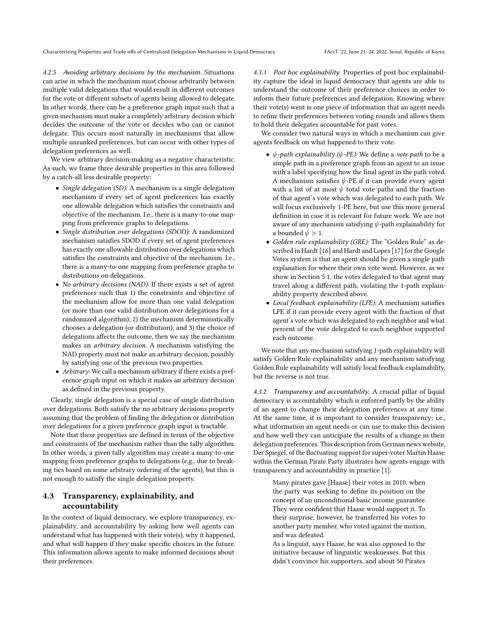Characterizing Properties and Trade-offs of Centralized Delegation Mechanisms in Liquid Democracy FAccT '22, June 21–24, 2022, Seoul, Republic of Korea

<span id="page-4-0"></span>4.2.5 Avoiding arbitrary decisions by the mechanism. Situations can arise in which the mechanism must choose arbitrarily between multiple valid delegations that would result in different outcomes for the vote or different subsets of agents being allowed to delegate. In other words, there can be a preference graph input such that a given mechanism must make a completely arbitrary decision which decides the outcome of the vote or decides who can or cannot delegate. This occurs most naturally in mechanisms that allow multiple unranked preferences, but can occur with other types of delegation preferences as well.

We view arbitrary decision-making as a negative characteristic. As such, we frame three desirable properties in this area followed by a catch-all less desirable property:

- Single delegation (SD): A mechanism is a single delegation mechanism if every set of agent preferences has exactly one allowable delegation which satisfies the constraints and objective of the mechanism. I.e., there is a many-to-one mapping from preference graphs to delegations.
- Single distribution over delegations (SDOD): A randomized mechanism satisfies SDOD if every set of agent preferences has exactly one allowable distribution over delegations which satisfies the constraints and objective of the mechanism. I.e., there is a many-to-one mapping from preference graphs to distributions on delegations.
- No arbitrary decisions (NAD): If there exists a set of agent preferences such that 1) the constraints and objective of the mechanism allow for more than one valid delegation (or more than one valid distribution over delegations for a randomized algorithm); 2) the mechanism deterministically chooses a delegation (or distribution); and 3) the choice of delegations affects the outcome, then we say the mechanism makes an arbitrary decision. A mechanism satisfying the NAD property must not make an arbitrary decision, possibly by satisfying one of the previous two properties.
- Arbitrary: We call a mechanism arbitrary if there exists a preference graph input on which it makes an arbitrary decision as defined in the previous property.

Clearly, single delegation is a special case of single distribution over delegations. Both satisfy the no arbitrary decisions property assuming that the problem of finding the delegation or distribution over delegations for a given preference graph input is tractable.

Note that these properties are defined in terms of the objective and constraints of the mechanism rather than the tally algorithm. In other words, a given tally algorithm may create a many-to-one mapping from preference graphs to delegations (e.g., due to breaking ties based on some arbitrary ordering of the agents), but this is not enough to satisfy the single delegation property.

## <span id="page-4-3"></span>4.3 Transparency, explainability, and accountability

In the context of liquid democracy, we explore transparency, explainability, and accountability by asking how well agents can understand what has happened with their vote(s), why it happened, and what will happen if they make specific choices in the future. This information allows agents to make informed decisions about their preferences.

<span id="page-4-1"></span>4.3.1 Post hoc explainability. Properties of post hoc explainability capture the ideal in liquid democracy that agents are able to understand the outcome of their preference choices in order to inform their future preferences and delegation. Knowing where their vote(s) went is one piece of information that an agent needs to refine their preferences between voting rounds and allows them to hold their delegates accountable for past votes.

We consider two natural ways in which a mechanism can give agents feedback on what happened to their vote:

- $\psi$ -path explainability ( $\psi$ -PE): We define a vote path to be a simple path in a preference graph from an agent to an issue with a label specifying how the final agent in the path voted. A mechanism satisfies  $\psi$ -PE if it can provide every agent with a list of at most  $\psi$  total vote paths and the fraction of that agent's vote which was delegated to each path. We will focus exclusively 1-PE here, but use this more general definition in case it is relevant for future work. We are not aware of any mechanism satisfying  $\psi$ -path explainability for a bounded  $\psi > 1$ .
- Golden rule explainability (GRE): The "Golden Rule" as de-scribed in Hardt [\[16\]](#page-9-16) and Hardt and Lopes [\[17\]](#page-9-12) for the Google Votes system is that an agent should be given a single path explanation for where their own vote went. However, as we show in Section [5.1,](#page-5-3) the votes delegated to that agent may travel along a different path, violating the 1-path explainability property described above.
- Local feedback explainability (LFE): A mechanism satisfies LFE if it can provide every agent with the fraction of that agent's vote which was delegated to each neighbor and what percent of the vote delegated to each neighbor supported each outcome.

We note that any mechanism satisfying 1-path explainability will satisfy Golden Rule explainability and any mechanism satisfying Golden Rule explainability will satisfy local feedback explainability, but the reverse is not true.

<span id="page-4-2"></span>4.3.2 Transparency and accountability. A crucial pillar of liquid democracy is accountability which is enforced partly by the ability of an agent to change their delegation preferences at any time. At the same time, it is important to consider transparency; i.e., what information an agent needs or can use to make this decision and how well they can anticipate the results of a change in their delegation preferences. This description from German news website, Der Spiegel, of the fluctuating support for super-voter Martin Haase within the German Pirate Party illustrates how agents engage with transparency and accountability in practice [\[1\]](#page-9-17).

Many pirates gave [Haase] their votes in 2010, when the party was seeking to define its position on the concept of an unconditional basic income guarantee. They were confident that Haase would support it. To their surprise, however, he transferred his votes to another party member, who voted against the motion, and was defeated.

As a linguist, says Haase, he was also opposed to the initiative because of linguistic weaknesses. But this didn't convince his supporters, and about 50 Pirates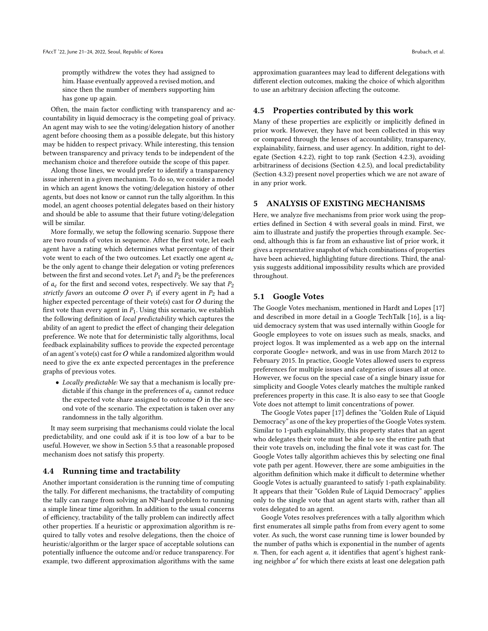promptly withdrew the votes they had assigned to him. Haase eventually approved a revised motion, and since then the number of members supporting him has gone up again.

Often, the main factor conflicting with transparency and accountability in liquid democracy is the competing goal of privacy. An agent may wish to see the voting/delegation history of another agent before choosing them as a possible delegate, but this history may be hidden to respect privacy. While interesting, this tension between transparency and privacy tends to be independent of the mechanism choice and therefore outside the scope of this paper.

Along those lines, we would prefer to identify a transparency issue inherent in a given mechanism. To do so, we consider a model in which an agent knows the voting/delegation history of other agents, but does not know or cannot run the tally algorithm. In this model, an agent chooses potential delegates based on their history and should be able to assume that their future voting/delegation will be similar.

More formally, we setup the following scenario. Suppose there are two rounds of votes in sequence. After the first vote, let each agent have a rating which determines what percentage of their vote went to each of the two outcomes. Let exactly one agent  $a_c$ be the only agent to change their delegation or voting preferences between the first and second votes. Let  $P_1$  and  $P_2$  be the preferences of  $a_c$  for the first and second votes, respectively. We say that  $P_2$ strictly favors an outcome O over  $P_1$  if every agent in  $P_2$  had a higher expected percentage of their vote(s) cast for  $O$  during the first vote than every agent in  $P_1$ . Using this scenario, we establish the following definition of local predictability which captures the ability of an agent to predict the effect of changing their delegation preference. We note that for deterministic tally algorithms, local feedback explainability suffices to provide the expected percentage of an agent's vote(s) cast for  $O$  while a randomized algorithm would need to give the ex ante expected percentages in the preference graphs of previous votes.

• Locally predictable: We say that a mechanism is locally predictable if this change in the preferences of  $a_c$  cannot reduce the expected vote share assigned to outcome  $O$  in the second vote of the scenario. The expectation is taken over any randomness in the tally algorithm.

It may seem surprising that mechanisms could violate the local predictability, and one could ask if it is too low of a bar to be useful. However, we show in Section [5.5](#page-7-1) that a reasonable proposed mechanism does not satisfy this property.

#### <span id="page-5-1"></span>4.4 Running time and tractability

Another important consideration is the running time of computing the tally. For different mechanisms, the tractability of computing the tally can range from solving an NP-hard problem to running a simple linear time algorithm. In addition to the usual concerns of efficiency, tractability of the tally problem can indirectly affect other properties. If a heuristic or approximation algorithm is required to tally votes and resolve delegations, then the choice of heuristic/algorithm or the larger space of acceptable solutions can potentially influence the outcome and/or reduce transparency. For example, two different approximation algorithms with the same

approximation guarantees may lead to different delegations with different election outcomes, making the choice of which algorithm to use an arbitrary decision affecting the outcome.

#### <span id="page-5-2"></span>4.5 Properties contributed by this work

Many of these properties are explicitly or implicitly defined in prior work. However, they have not been collected in this way or compared through the lenses of accountability, transparency, explainability, fairness, and user agency. In addition, right to delegate (Section [4.2.2\)](#page-2-0), right to top rank (Section [4.2.3\)](#page-3-3), avoiding arbitrariness of decisions (Section [4.2.5\)](#page-4-0), and local predictability (Section [4.3.2\)](#page-4-2) present novel properties which we are not aware of in any prior work.

## <span id="page-5-0"></span>5 ANALYSIS OF EXISTING MECHANISMS

Here, we analyze five mechanisms from prior work using the properties defined in Section [4](#page-2-1) with several goals in mind. First, we aim to illustrate and justify the properties through example. Second, although this is far from an exhaustive list of prior work, it gives a representative snapshot of which combinations of properties have been achieved, highlighting future directions. Third, the analysis suggests additional impossibility results which are provided throughout.

#### <span id="page-5-3"></span>5.1 Google Votes

The Google Votes mechanism, mentioned in Hardt and Lopes [\[17\]](#page-9-12) and described in more detail in a Google TechTalk [\[16\]](#page-9-16), is a liquid democracy system that was used internally within Google for Google employees to vote on issues such as meals, snacks, and project logos. It was implemented as a web app on the internal corporate Google+ network, and was in use from March 2012 to February 2015. In practice, Google Votes allowed users to express preferences for multiple issues and categories of issues all at once. However, we focus on the special case of a single binary issue for simplicity and Google Votes clearly matches the multiple ranked preferences property in this case. It is also easy to see that Google Vote does not attempt to limit concentrations of power.

The Google Votes paper [\[17\]](#page-9-12) defines the "Golden Rule of Liquid Democracy" as one of the key properties of the Google Votes system. Similar to 1-path explainability, this property states that an agent who delegates their vote must be able to see the entire path that their vote travels on, including the final vote it was cast for. The Google Votes tally algorithm achieves this by selecting one final vote path per agent. However, there are some ambiguities in the algorithm definition which make it difficult to determine whether Google Votes is actually guaranteed to satisfy 1-path explainability. It appears that their "Golden Rule of Liquid Democracy" applies only to the single vote that an agent starts with, rather than all votes delegated to an agent.

Google Votes resolves preferences with a tally algorithm which first enumerates all simple paths from from every agent to some voter. As such, the worst case running time is lower bounded by the number of paths which is exponential in the number of agents  $n.$  Then, for each agent  $a$ , it identifies that agent's highest ranking neighbor a ′ for which there exists at least one delegation path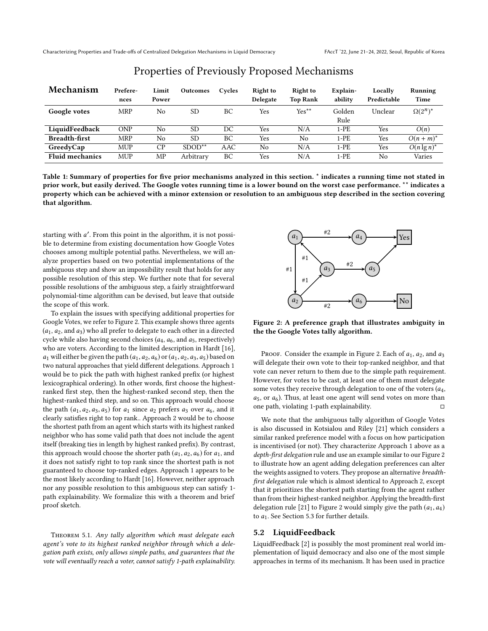| Mechanism              | Prefere-<br>nces | Limit<br>Power | Outcomes  | Cycles | <b>Right to</b><br>Delegate | <b>Right to</b><br><b>Top Rank</b> | Explain-<br>ability | Locally<br>Predictable | Running<br>Time |
|------------------------|------------------|----------------|-----------|--------|-----------------------------|------------------------------------|---------------------|------------------------|-----------------|
| Google votes           | <b>MRP</b>       | No             | <b>SD</b> | ВC     | Yes                         | $Yes**$                            | Golden<br>Rule      | Unclear                | $\Omega(2^n)^*$ |
| LiquidFeedback         | <b>ONP</b>       | No             | <b>SD</b> | DC     | Yes                         | N/A                                | $1-PE$              | Yes                    | O(n)            |
| <b>Breadth-first</b>   | <b>MRP</b>       | No             | <b>SD</b> | ВC     | Yes                         | No                                 | $1-PE$              | Yes                    | $O(n+m)^*$      |
| GreedyCap              | <b>MUP</b>       | CP.            | $SDOD**$  | AAC    | No                          | N/A                                | $1-PE$              | Yes                    | $O(n \lg n)^*$  |
| <b>Fluid mechanics</b> | MUP              | ΜP             | Arbitrary | ВC     | Yes                         | N/A                                | 1-PE                | No                     | Varies          |

## Properties of Previously Proposed Mechanisms

Table 1: Summary of properties for five prior mechanisms analyzed in this section. \* indicates a running time not stated in prior work, but easily derived. The Google votes running time is a lower bound on the worst case performance. \*\* indicates a property which can be achieved with a minor extension or resolution to an ambiguous step described in the section covering that algorithm.

starting with a'. From this point in the algorithm, it is not possible to determine from existing documentation how Google Votes ble to determine from existing documentation how Google Votes chooses among multiple potential paths. Nevertheless, we will analyze properties based on two potential implementations of the ambiguous step and show an impossibility result that holds for any possible resolution of this step. We further note that for several possible resolutions of the ambiguous step, a fairly straightforward polynomial-time algorithm can be devised, but leave that outside the scope of this work.

To explain the issues with specifying additional properties for Google Votes, we refer to Figure [2.](#page-6-0) This example shows three agents  $(a_1, a_2,$  and  $a_3)$  who all prefer to delegate to each other in a directed cycle while also having second choices  $(a_4, a_6, a_7)$  and  $a_5$ , respectively) who are voters. According to the limited description in Hardt [\[16\]](#page-9-16),  $a_1$  will either be given the path  $(a_1, a_2, a_6)$  or  $(a_1, a_2, a_3, a_5)$  based on two natural approaches that yield different delegations. Approach 1 would be to pick the path with highest ranked prefix (or highest lexicographical ordering). In other words, first choose the highestranked first step, then the highest-ranked second step, then the highest-ranked third step, and so on. This approach would choose the path  $(a_1, a_2, a_3, a_5)$  for  $a_1$  since  $a_2$  prefers  $a_3$  over  $a_6$ , and it clearly satisfies right to top rank.. Approach 2 would be to choose the shortest path from an agent which starts with its highest ranked neighbor who has some valid path that does not include the agent itself (breaking ties in length by highest ranked prefix). By contrast, this approach would choose the shorter path  $(a_1, a_2, a_6)$  for  $a_1$ , and it does not satisfy right to top rank since the shortest path is not guaranteed to choose top-ranked edges. Approach 1 appears to be the most likely according to Hardt [\[16\]](#page-9-16). However, neither approach nor any possible resolution to this ambiguous step can satisfy 1 path explainability. We formalize this with a theorem and brief proof sketch.

Theorem 5.1. Any tally algorithm which must delegate each agent's vote to its highest ranked neighbor through which a delegation path exists, only allows simple paths, and guarantees that the vote will eventually reach a voter, cannot satisfy 1-path explainability.

<span id="page-6-0"></span>

Figure 2: A preference graph that illustrates ambiguity in the the Google Votes tally algorithm.

PROOF. Consider the example in Figure [2.](#page-6-0) Each of  $a_1$ ,  $a_2$ , and  $a_3$ will delegate their own vote to their top-ranked neighbor, and that vote can never return to them due to the simple path requirement. However, for votes to be cast, at least one of them must delegate some votes they receive through delegation to one of the voters  $(a_4, a_5)$  $a_5$ , or  $a_6$ ). Thus, at least one agent will send votes on more than one path violating 1-path explainability one path, violating 1-path explainability.

We note that the ambiguous tally algorithm of Google Votes is also discussed in Kotsialou and Riley [\[21\]](#page-9-8) which considers a similar ranked preference model with a focus on how participation is incentivised (or not). They characterize Approach 1 above as a depth-first delegation rule and use an example similar to our Figure [2](#page-6-0) to illustrate how an agent adding delegation preferences can alter the weights assigned to voters. They propose an alternative breadthfirst delegation rule which is almost identical to Approach 2, except that it prioritizes the shortest path starting from the agent rather than from their highest-ranked neighbor. Applying the breadth-first delegation rule [\[21\]](#page-9-8) to Figure [2](#page-6-0) would simply give the path  $(a_1, a_4)$ to  $a_1$ . See Section [5.3](#page-7-0) for further details.

#### 5.2 LiquidFeedback

LiquidFeedback [\[2\]](#page-9-15) is possibly the most prominent real world implementation of liquid democracy and also one of the most simple approaches in terms of its mechanism. It has been used in practice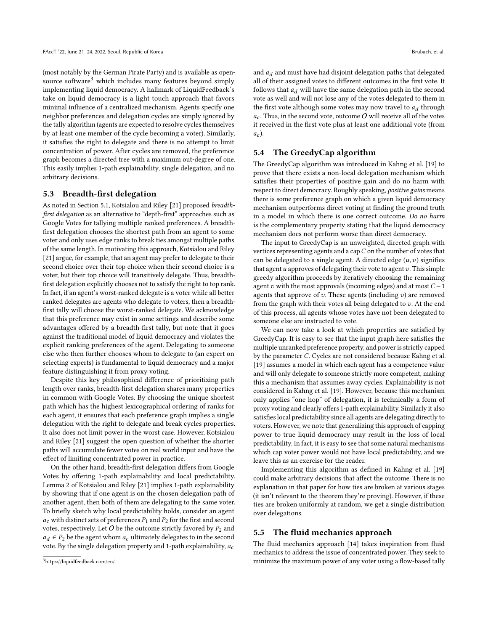(most notably by the German Pirate Party) and is available as open-source software<sup>[3](#page-7-2)</sup> which includes many features beyond simply implementing liquid democracy. A hallmark of LiquidFeedback's take on liquid democracy is a light touch approach that favors minimal influence of a centralized mechanism. Agents specify one neighbor preferences and delegation cycles are simply ignored by the tally algorithm (agents are expected to resolve cycles themselves by at least one member of the cycle becoming a voter). Similarly, it satisfies the right to delegate and there is no attempt to limit concentration of power. After cycles are removed, the preference graph becomes a directed tree with a maximum out-degree of one. This easily implies 1-path explainability, single delegation, and no arbitrary decisions.

## <span id="page-7-0"></span>5.3 Breadth-first delegation

As noted in Section [5.1,](#page-5-3) Kotsialou and Riley [\[21\]](#page-9-8) proposed breadthfirst delegation as an alternative to "depth-first" approaches such as Google Votes for tallying multiple ranked preferences. A breadthfirst delegation chooses the shortest path from an agent to some voter and only uses edge ranks to break ties amongst multiple paths of the same length. In motivating this approach, Kotsialou and Riley [\[21\]](#page-9-8) argue, for example, that an agent may prefer to delegate to their second choice over their top choice when their second choice is a voter, but their top choice will transitively delegate. Thus, breadthfirst delegation explicitly chooses not to satisfy the right to top rank. In fact, if an agent's worst-ranked delegate is a voter while all better ranked delegates are agents who delegate to voters, then a breadthfirst tally will choose the worst-ranked delegate. We acknowledge that this preference may exist in some settings and describe some advantages offered by a breadth-first tally, but note that it goes against the traditional model of liquid democracy and violates the explicit ranking preferences of the agent. Delegating to someone else who then further chooses whom to delegate to (an expert on selecting experts) is fundamental to liquid democracy and a major feature distinguishing it from proxy voting.

Despite this key philosophical difference of prioritizing path length over ranks, breadth-first delegation shares many properties in common with Google Votes. By choosing the unique shortest path which has the highest lexicographical ordering of ranks for each agent, it ensures that each preference graph implies a single delegation with the right to delegate and break cycles properties. It also does not limit power in the worst case. However, Kotsialou and Riley [\[21\]](#page-9-8) suggest the open question of whether the shorter paths will accumulate fewer votes on real world input and have the effect of limiting concentrated power in practice.

On the other hand, breadth-first delegation differs from Google Votes by offering 1-path explainability and local predictability. Lemma 2 of Kotsialou and Riley [\[21\]](#page-9-8) implies 1-path explainability by showing that if one agent is on the chosen delegation path of another agent, then both of them are delegating to the same voter. To briefly sketch why local predictability holds, consider an agent  $a_c$  with distinct sets of preferences  $P_1$  and  $P_2$  for the first and second votes, respectively. Let  $O$  be the outcome strictly favored by  $P_2$  and  $a_d \in P_2$  be the agent whom  $a_c$  ultimately delegates to in the second vote. By the single delegation property and 1-path explainability,  $a_c$ 

and  $a_d$  and must have had disjoint delegation paths that delegated all of their assigned votes to different outcomes in the first vote. It follows that  $a_d$  will have the same delegation path in the second vote as well and will not lose any of the votes delegated to them in the first vote although some votes may now travel to  $a_d$  through  $a$ . Thus in the second vote outcome  $\Omega$  will receive all of the votes  $a_c$ . Thus, in the second vote, outcome O will receive all of the votes it received in the first vote plus at least one additional vote (from  $a_c$ ).

#### 5.4 The GreedyCap algorithm

The GreedyCap algorithm was introduced in Kahng et al. [\[19\]](#page-9-7) to prove that there exists a non-local delegation mechanism which satisfies their properties of positive gain and do no harm with respect to direct democracy. Roughly speaking, positive gains means there is some preference graph on which a given liquid democracy mechanism outperforms direct voting at finding the ground truth in a model in which there is one correct outcome. Do no harm is the complementary property stating that the liquid democracy mechanism does not perform worse than direct democracy.

The input to GreedyCap is an unweighted, directed graph with vertices representing agents and a cap  $C$  on the number of votes that can be delegated to a single agent. A directed edge  $(u, v)$  signifies that agent  $u$  approves of delegating their vote to agent  $v$ . This simple greedy algorithm proceeds by iteratively choosing the remaining agent v with the most approvals (incoming edges) and at most  $C - 1$ agents that approve of  $v$ . These agents (including  $v$ ) are removed from the graph with their votes all being delegated to  $v$ . At the end of this process, all agents whose votes have not been delegated to someone else are instructed to vote.

We can now take a look at which properties are satisfied by GreedyCap. It is easy to see that the input graph here satisfies the multiple unranked preference property, and power is strictly capped by the parameter C. Cycles are not considered because Kahng et al. [\[19\]](#page-9-7) assumes a model in which each agent has a competence value and will only delegate to someone strictly more competent, making this a mechanism that assumes away cycles. Explainability is not considered in Kahng et al. [\[19\]](#page-9-7). However, because this mechanism only applies "one hop" of delegation, it is technically a form of proxy voting and clearly offers 1-path explainability. Similarly it also satisfies local predictability since all agents are delegating directly to voters. However, we note that generalizing this approach of capping power to true liquid democracy may result in the loss of local predictability. In fact, it is easy to see that some natural mechanisms which cap voter power would not have local predictability, and we leave this as an exercise for the reader.

Implementing this algorithm as defined in Kahng et al. [\[19\]](#page-9-7) could make arbitrary decisions that affect the outcome. There is no explanation in that paper for how ties are broken at various stages (it isn't relevant to the theorem they're proving). However, if these ties are broken uniformly at random, we get a single distribution over delegations.

## <span id="page-7-1"></span>5.5 The fluid mechanics approach

The fluid mechanics approach [\[14\]](#page-9-6) takes inspiration from fluid mechanics to address the issue of concentrated power. They seek to minimize the maximum power of any voter using a flow-based tally

<span id="page-7-2"></span><sup>3</sup>https://liquidfeedback.com/en/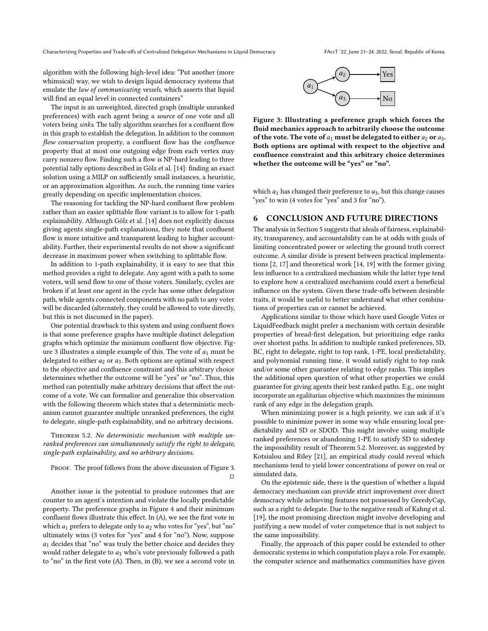algorithm with the following high-level idea: "Put another (more whimsical) way, we wish to design liquid democracy systems that emulate the law of communicating vessels, which asserts that liquid will find an equal level in connected containers"

The input is an unweighted, directed graph (multiple unranked preferences) with each agent being a source of one vote and all voters being sinks. The tally algorithm searches for a confluent flow in this graph to establish the delegation. In addition to the common flow conservation property, a confluent flow has the confluence property that at most one outgoing edge from each vertex may carry nonzero flow. Finding such a flow is NP-hard leading to three potential tally options described in Gölz et al. [\[14\]](#page-9-6): finding an exact solution using a MILP on sufficiently small instances, a heuristic, or an approximation algorithm. As such, the running time varies greatly depending on specific implementation choices.

The reasoning for tackling the NP-hard confluent flow problem rather than an easier splittable flow variant is to allow for 1-path explainability. Although Gölz et al. [\[14\]](#page-9-6) does not explicitly discuss giving agents single-path explanations, they note that confluent flow is more intuitive and transparent leading to higher accountability. Further, their experimental results do not show a significant decrease in maximum power when switching to splittable flow.

In addition to 1-path explainability, it is easy to see that this method provides a right to delegate. Any agent with a path to some voters, will send flow to one of those voters. Similarly, cycles are broken if at least one agent in the cycle has some other delegation path, while agents connected components with no path to any voter will be discarded (alternately, they could be allowed to vote directly, but this is not discussed in the paper).

One potential drawback to this system and using confluent flows is that some preference graphs have multiple distinct delegation graphs which optimize the minimum confluent flow objective. Fig-ure [3](#page-8-1) illustrates a simple example of this. The vote of  $a_1$  must be delegated to either  $a_2$  or  $a_3$ . Both options are optimal with respect to the objective and confluence constraint and this arbitrary choice determines whether the outcome will be "yes" or "no". Thus, this method can potentially make arbitrary decisions that affect the outcome of a vote. We can formalize and generalize this observation with the following theorem which states that a deterministic mechanism cannot guarantee multiple unranked preferences, the right to delegate, single-path explainability, and no arbitrary decisions.

<span id="page-8-2"></span>THEOREM 5.2. No deterministic mechanism with multiple unranked preferences can simultaneously satisfy the right to delegate, single-path explainability, and no arbitrary decisions.

#### PROOF. The proof follows from the above discussion of Figure [3.](#page-8-1)  $\Box$

Another issue is the potential to produce outcomes that are counter to an agent's intention and violate the locally predictable property. The preference graphs in Figure [4](#page-9-18) and their minimum confluent flows illustrate this effect. In (A), we see the first vote in which  $a_1$  prefers to delegate only to  $a_2$  who votes for "yes", but "no" ultimately wins (3 votes for "yes" and 4 for "no"). Now, suppose  $a_1$  decides that "no" was truly the better choice and decides they would rather delegate to  $a_3$  who's vote previously followed a path to "no" in the first vote (A). Then, in (B), we see a second vote in

<span id="page-8-1"></span>

Figure 3: Illustrating a preference graph which forces the fluid mechanics approach to arbitrarily choose the outcome of the vote. The vote of  $a_1$  must be delegated to either  $a_2$  or  $a_3$ . Both options are optimal with respect to the objective and confluence constraint and this arbitrary choice determines whether the outcome will be "yes" or "no".

which  $a_1$  has changed their preference to  $a_3$ , but this change causes "yes" to win (4 votes for "yes" and 3 for "no").

## <span id="page-8-0"></span>6 CONCLUSION AND FUTURE DIRECTIONS

The analysis in Section [5](#page-5-0) suggests that ideals of fairness, explainability, transparency, and accountability can be at odds with goals of limiting concentrated power or selecting the ground truth correct outcome. A similar divide is present between practical implementations [\[2,](#page-9-15) [17\]](#page-9-12) and theoretical work [\[14,](#page-9-6) [19\]](#page-9-7) with the former giving less influence to a centralized mechanism while the latter type tend to explore how a centralized mechanism could exert a beneficial influence on the system. Given these trade-offs between desirable traits, it would be useful to better understand what other combinations of properties can or cannot be achieved.

Applications similar to those which have used Google Votes or LiquidFeedback might prefer a mechanism with certain desirable properties of bread-first delegation, but prioritizing edge ranks over shortest paths. In addition to multiple ranked preferences, SD, BC, right to delegate, right to top rank, 1-PE, local predictability, and polynomial running time, it would satisfy right to top rank and/or some other guarantee relating to edge ranks. This implies the additional open question of what other properties we could guarantee for giving agents their best ranked paths. E.g., one might incorporate an egalitarian objective which maximizes the minimum rank of any edge in the delegation graph.

When minimizing power is a high priority, we can ask if it's possible to minimize power in some way while ensuring local predictability and SD or SDOD. This might involve using multiple ranked preferences or abandoning 1-PE to satisfy SD to sidestep the impossibility result of Theorem [5.2.](#page-8-2) Moreover, as suggested by Kotsialou and Riley [\[21\]](#page-9-8), an empirical study could reveal which mechanisms tend to yield lower concentrations of power on real or simulated data.

On the epistemic side, there is the question of whether a liquid democracy mechanism can provide strict improvement over direct democracy while achieving features not possessed by GreedyCap, such as a right to delegate. Due to the negative result of Kahng et al. [\[19\]](#page-9-7), the most promising direction might involve developing and justifying a new model of voter competence that is not subject to the same impossibility.

Finally, the approach of this paper could be extended to other democratic systems in which computation plays a role. For example, the computer science and mathematics communities have given